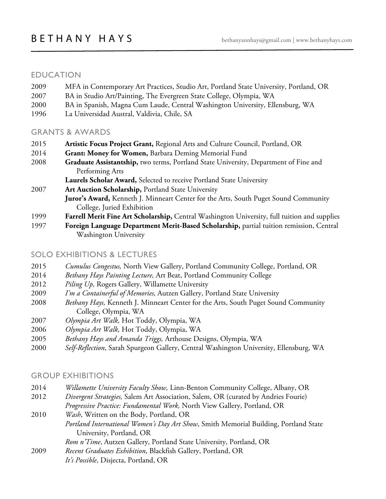## EDUCATION

- 2009 MFA in Contemporary Art Practices, Studio Art, Portland State University, Portland, OR
- 2007 BA in Studio Art/Painting, The Evergreen State College, Olympia, WA
- 2000 BA in Spanish, Magna Cum Laude, Central Washington University, Ellensburg, WA
- 1996 La Universidad Austral, Valdivia, Chile, SA

## GRANTS & AWARDS

- 2015 **Artistic Focus Project Grant,** Regional Arts and Culture Council, Portland, OR
- 2014 **Grant: Money for Women,** Barbara Deming Memorial Fund
- 2008 **Graduate Assistantship,** two terms, Portland State University, Department of Fine and Performing Arts

**Laurels Scholar Award,** Selected to receive Portland State University

2007 **Art Auction Scholarship,** Portland State University

**Juror's Award,** Kenneth J. Minneart Center for the Arts, South Puget Sound Community College, Juried Exhibition

- 1999 **Farrell Merit Fine Art Scholarship,** Central Washington University, full tuition and supplies
- 1997 **Foreign Language Department Merit-Based Scholarship,** partial tuition remission, Central Washington University

## SOLO EXHIBITIONS & LECTURES

- 2015 *Cumulus Congestus,* North View Gallery, Portland Community College, Portland, OR
- 2014 *Bethany Hays Painting Lecture,* Art Beat, Portland Community College
- 2012 *Piling Up,* Rogers Gallery, Willamette University
- 2009 *I'm a Containerful of Memories,* Autzen Gallery, Portland State University
- 2008 *Bethany Hays,* Kenneth J. Minneart Center for the Arts, South Puget Sound Community College, Olympia, WA
- 2007 *Olympia Art Walk,* Hot Toddy, Olympia, WA
- 2006 *Olympia Art Walk,* Hot Toddy, Olympia, WA
- 2005 *Bethany Hays and Amanda Triggs,* Arthouse Designs, Olympia, WA
- 2000 *Self-Reflection*, Sarah Spurgeon Gallery, Central Washington University, Ellensburg, WA

## GROUP EXHIBITIONS

- 2014 *Willamette University Faculty Show,* Linn-Benton Community College, Albany, OR
- 2012 *Divergent Strategies,* Salem Art Association, Salem, OR (curated by Andries Fourie) *Progressive Practice: Fundamental Work,* North View Gallery, Portland, OR
- 2010 *Wash*, Written on the Body, Portland, OR *Portland International Women's Day Art Show*, Smith Memorial Building, Portland State University, Portland, OR

*Rom n'Time*, Autzen Gallery, Portland State University, Portland, OR

2009 *Recent Graduates Exhibition*, Blackfish Gallery, Portland, OR *It's Possible*, Disjecta, Portland, OR